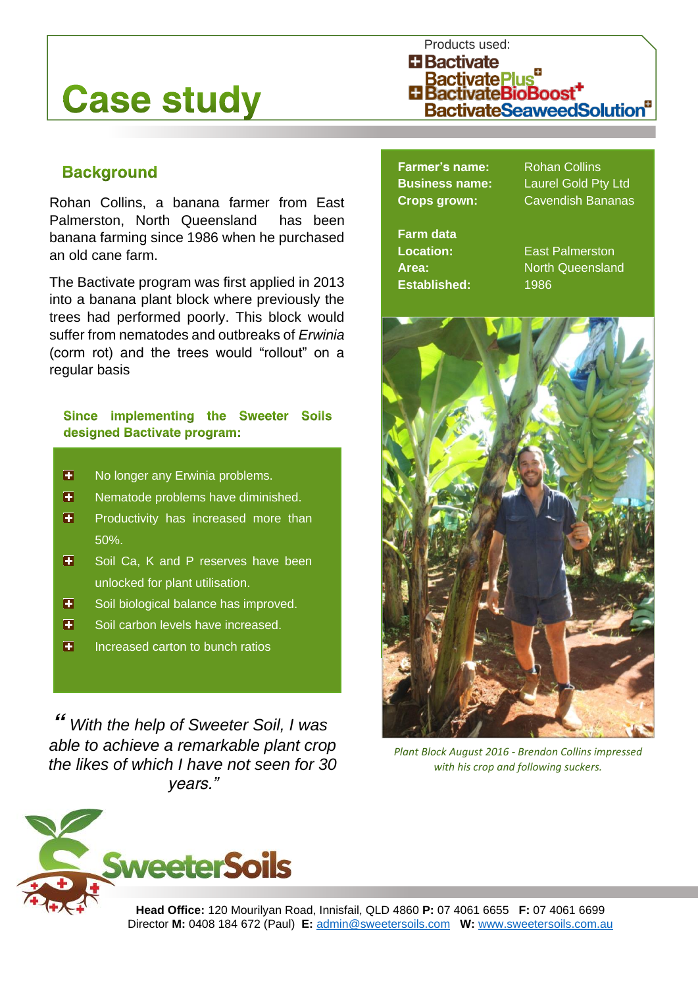# **Case study**

## Products used: **H** Bactivate BactivatePlus"<br>"BactivateBioBoost" **BactivateSeaweedSolution**

### **Background**

Rohan Collins, a banana farmer from East Palmerston, North Queensland has been banana farming since 1986 when he purchased an old cane farm.

The Bactivate program was first applied in 2013 into a banana plant block where previously the trees had performed poorly. This block would suffer from nematodes and outbreaks of *Erwinia* (corm rot) and the trees would "rollout" on a regular basis

#### Since implementing the Sweeter Soils designed Bactivate program:

- E No longer any Erwinia problems.
- П Nematode problems have diminished.
- H Productivity has increased more than 50%.
- $\blacksquare$ Soil Ca, K and P reserves have been unlocked for plant utilisation.
- $\blacksquare$ Soil biological balance has improved.
- $\blacksquare$ Soil carbon levels have increased.
- $\overline{\mathbf{H}}$ Increased carton to bunch ratios

*"With the help of Sweeter Soil, I was able to achieve a remarkable plant crop the likes of which I have not seen for 30 years."*

**Farmer's name:** Rohan Collins

**Business name:** Laurel Gold Pty Ltd **Crops grown:** Cavendish Bananas

**Farm data Established:** 1986

**Location:** East Palmerston **Area:** North Queensland



*Plant Block August 2016 - Brendon Collins impressed with his crop and following suckers.*